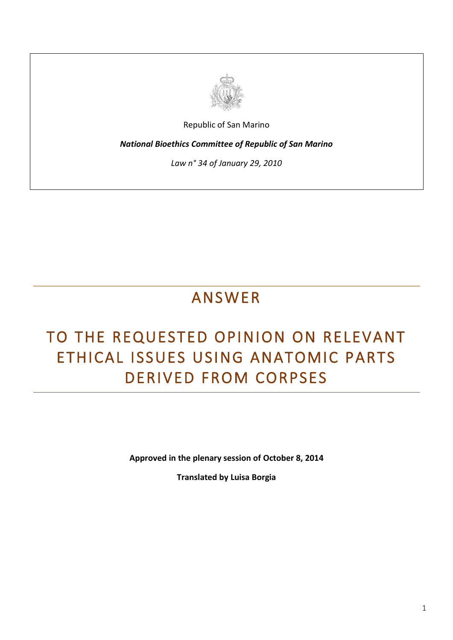

Republic of San Marino

*National Bioethics Committee of Republic of San Marino*

*Law n° 34 of January 29, 2010*

## ANSWER

## TO THE REQUESTED OPINION ON RELEVANT ETHICAL ISSUES USING ANATOMIC PARTS DERIVED FROM CORPSES

**Approved in the plenary session of October 8, 2014**

**Translated by Luisa Borgia**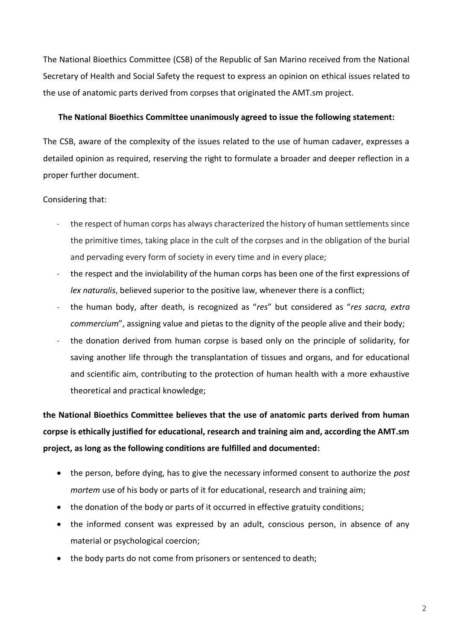The National Bioethics Committee (CSB) of the Republic of San Marino received from the National Secretary of Health and Social Safety the request to express an opinion on ethical issues related to the use of anatomic parts derived from corpses that originated the AMT.sm project.

## **The National Bioethics Committee unanimously agreed to issue the following statement:**

The CSB, aware of the complexity of the issues related to the use of human cadaver, expresses a detailed opinion as required, reserving the right to formulate a broader and deeper reflection in a proper further document.

## Considering that:

- the respect of human corps has always characterized the history of human settlements since the primitive times, taking place in the cult of the corpses and in the obligation of the burial and pervading every form of society in every time and in every place;
- the respect and the inviolability of the human corps has been one of the first expressions of *lex naturalis*, believed superior to the positive law, whenever there is a conflict;
- the human body, after death, is recognized as "*res*" but considered as "*res sacra, extra commercium*", assigning value and pietas to the dignity of the people alive and their body;
- the donation derived from human corpse is based only on the principle of solidarity, for saving another life through the transplantation of tissues and organs, and for educational and scientific aim, contributing to the protection of human health with a more exhaustive theoretical and practical knowledge;

**the National Bioethics Committee believes that the use of anatomic parts derived from human corpse is ethically justified for educational, research and training aim and, according the AMT.sm project, as long as the following conditions are fulfilled and documented:**

- the person, before dying, has to give the necessary informed consent to authorize the *post mortem* use of his body or parts of it for educational, research and training aim;
- the donation of the body or parts of it occurred in effective gratuity conditions;
- the informed consent was expressed by an adult, conscious person, in absence of any material or psychological coercion;
- the body parts do not come from prisoners or sentenced to death;